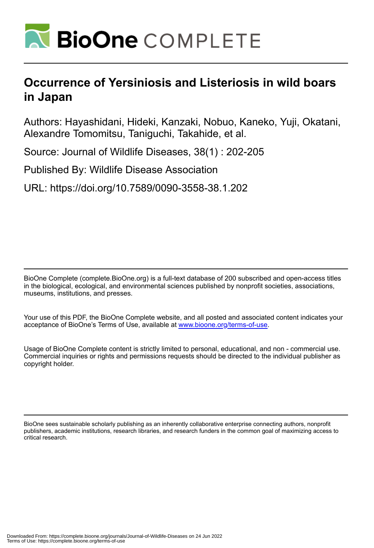

## **Occurrence of Yersiniosis and Listeriosis in wild boars in Japan**

Authors: Hayashidani, Hideki, Kanzaki, Nobuo, Kaneko, Yuji, Okatani, Alexandre Tomomitsu, Taniguchi, Takahide, et al.

Source: Journal of Wildlife Diseases, 38(1) : 202-205

Published By: Wildlife Disease Association

URL: https://doi.org/10.7589/0090-3558-38.1.202

BioOne Complete (complete.BioOne.org) is a full-text database of 200 subscribed and open-access titles in the biological, ecological, and environmental sciences published by nonprofit societies, associations, museums, institutions, and presses.

Your use of this PDF, the BioOne Complete website, and all posted and associated content indicates your acceptance of BioOne's Terms of Use, available at www.bioone.org/terms-of-use.

Usage of BioOne Complete content is strictly limited to personal, educational, and non - commercial use. Commercial inquiries or rights and permissions requests should be directed to the individual publisher as copyright holder.

BioOne sees sustainable scholarly publishing as an inherently collaborative enterprise connecting authors, nonprofit publishers, academic institutions, research libraries, and research funders in the common goal of maximizing access to critical research.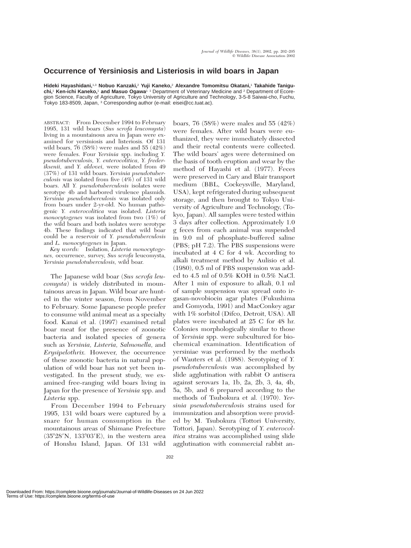## **Occurrence of Yersiniosis and Listeriosis in wild boars in Japan**

**Hideki Hayashidani,**1,3 **Nobuo Kanzaki,**<sup>2</sup> **Yuji Kaneko,**<sup>2</sup> **Alexandre Tomomitsu Okatani,**<sup>1</sup> **Takahide Taniguchi,**<sup>1</sup> **Ken-ichi Kaneko,**<sup>1</sup> **and Masuo Ogawa**1 1 Department of Veterinary Medicine and <sup>2</sup> Department of Ecoregion Science, Faculty of Agriculture, Tokyo University of Agriculture and Technology, 3-5-8 Saiwai-cho, Fuchu, Tokyo 183-8509, Japan, <sup>3</sup> Corresponding author (e-mail: eisei@cc.tuat.ac).

ABSTRACT: From December 1994 to February 1995, 131 wild boars (*Sus scrofa leucomysta*) living in a mountainous area in Japan were examined for yersiniosis and listeriosis*.* Of 131 wild boars,  $76$  (58%) were males and 55 (42%) were females. Four *Yersinia* spp. including *Y. pseudotuberculosis, Y. enterocolitica, Y. frederiksenii,* and *Y. aldovei,* were isolated from 49 (37%) of 131 wild boars. *Yersinia pseudotuberculosis* was isolated from five (4%) of 131 wild boars. All *Y. pseudotuberculosis* isolates were serotype 4b and harbored virulence plasmids. *Yersinia pseudotuberculosis* was isolated only from boars under 2-yr-old. No human pathogenic *Y. enterocolitica* was isolated. *Listeria monocytogenes* was isolated from two (1%) of the wild boars and both isolates were serotype 4b. These findings indicated that wild boar could be a reservoir of *Y. pseudotuberculosis* and *L. monocytogenes* in Japan.

*Key words:* Isolation, *Listeria monocytogenes,* occurrence, survey, *Sus scrofa* leucomysta, *Yersinia pseudotuberculosis,* wild boar.

The Japanese wild boar (*Sus scrofa leucomysta*) is widely distributed in mountainous areas in Japan. Wild boar are hunted in the winter season, from November to February. Some Japanese people prefer to consume wild animal meat as a specialty food. Kanai et al. (1997) examined retail boar meat for the presence of zoonotic bacteria and isolated species of genera such as *Yersinia, Listeria, Salmonella,* and *Erysipelothrix.* However, the occurrence of these zoonotic bacteria in natural population of wild boar has not yet been investigated. In the present study, we examined free-ranging wild boars living in Japan for the presence of *Yersinia* spp. and *Listeria* spp.

From December 1994 to February 1995, 131 wild boars were captured by a snare for human consumption in the mountainous areas of Shimane Prefecture  $(35°28'N, 133°03'E)$ , in the western area of Honshu Island, Japan. Of 131 wild

boars, 76 (58%) were males and 55 (42%) were females. After wild boars were euthanized, they were immediately dissected and their rectal contents were collected. The wild boars' ages were determined on the basis of tooth eruption and wear by the method of Hayashi et al. (1977). Feces were preserved in Cary and Blair transport medium (BBL, Cockeysville, Maryland, USA), kept refrigerated during subsequent storage, and then brought to Tokyo University of Agriculture and Technology, (Tokyo, Japan). All samples were tested within 3 days after collection. Approximately 1.0 g feces from each animal was suspended in 9.0 ml of phosphate-buffered saline (PBS; pH 7.2). The PBS suspensions were incubated at 4 C for 4 wk. According to alkali treatment method by Aulisio et al. (1980), 0.5 ml of PBS suspension was added to 4.5 ml of 0.5% KOH in 0.5% NaCl. After 1 min of exposure to alkali, 0.1 ml of sample suspension was spread onto irgasan-novobiocin agar plates (Fukushima and Gomyoda, 1991) and MacConkey agar with 1% sorbitol (Difco, Detroit, USA). All plates were incubated at 25 C for 48 hr. Colonies morphologically similar to those of *Yersinia* spp. were subcultured for biochemical examination. Identification of yersiniae was performed by the methods of Wauters et al. (1988). Serotyping of *Y. pseudotuberculosis* was accomplished by slide agglutination with rabbit O antisera against serovars 1a, 1b, 2a, 2b, 3, 4a, 4b, 5a, 5b, and 6 prepared according to the methods of Tsubokura et al. (1970). *Yersinia pseudotuberculosis* strains used for immunization and absorption were provided by M. Tsubokura (Tottori University, Tottori, Japan). Serotyping of *Y. enterocolitica* strains was accomplished using slide agglutination with commercial rabbit an-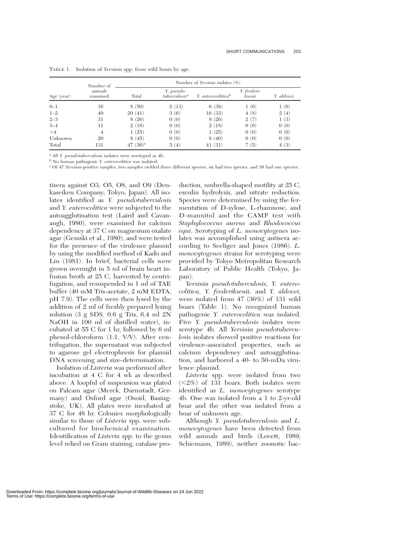| Age (year) | Number of<br>animals<br>examined | Number of Yersinia isolates $(\%)$ |                                         |                                |                       |            |
|------------|----------------------------------|------------------------------------|-----------------------------------------|--------------------------------|-----------------------|------------|
|            |                                  | Total                              | Y. pseudo-<br>tuberculosis <sup>a</sup> | Y. enterocolitica <sup>b</sup> | Y. frederi-<br>ksenii | Y. aldovei |
| $0 - 1$    | 16                               | 8(50)                              | 2(13)                                   | 6(38)                          | 1(6)                  | 1(6)       |
| $1 - 2$    | 49                               | 20(41)                             | 3(6)                                    | 16(33)                         | 4(8)                  | 2(4)       |
| $2 - 3$    | 31                               | 8(26)                              | 0(0)                                    | 8(26)                          | 2(7)                  | 1(3)       |
| $3 - 4$    | 11                               | 2(18)                              | 0(0)                                    | 2(18)                          | 0(0)                  | 0(0)       |
| >4         | 4                                | 1(25)                              | 0(0)                                    | 1(25)                          | 0(0)                  | 0(0)       |
| Unknown    | 20                               | 8(45)                              | 0(0)                                    | 8(40)                          | 0(0)                  | 0(0)       |
| Total      | 131                              | 47 $(36)^c$                        | 5(4)                                    | 41(31)                         | 7(5)                  | 4(3)       |

TABLE 1. Isolation of *Yersinia* spp. from wild boars by age.

<sup>a</sup> All *Y. pseudotuberculosis* isolates were serotyped as 4b.

<sup>b</sup> No human pathogenic *Y. enterocolitica* was isolated.

<sup>c</sup> Of 47 *Yersinia*-positive samples, two samples yielded three different species, six had two species, and 39 had one species.

tisera against O3, O5, O8, and O9 (Denkaseiken Company, Tokyo, Japan). All isolates identified as *Y. pseudotuberculosis* and *Y. enterocolitica* were subjected to the autoagglutination test (Laird and Cavanaugh, 1980), were examined for calcium dependency at 37 C on magnesium oxalate agar (Gemski et al., 1980), and were tested for the presence of the virulence plasmid by using the modified method of Kado and Liu (1981). In brief, bacterial cells were grown overnight in 5 ml of brain heart infusion broth at 25 C, harvested by centrifugation, and resuspended in 1 ml of TAE buffer (40 mM Tris-acetate, 2 mM EDTA, pH 7.9). The cells were then lysed by the addition of 2 ml of freshly prepared lysing solution (3 g SDS, 0.6 g Tris, 6.4 ml 2N NaOH in 100 ml of distilled water), incubated at 55 C for 1 hr, followed by 6 ml phenol-chloroform (1:1, V/V). After centrifugation, the supernatant was subjected to agarose gel electrophresis for plasmid DNA screening and size-determination.

Isolation of *Listeria* was performed after incubation at 4 C for 4 wk as described above. A loopful of suspension was plated on Palcam agar (Merck, Darmstadt, Germany) and Oxford agar (Oxoid, Basingstoke, UK). All plates were incubated at 37 C for 48 hr. Colonies morphologically similar to those of *Listeria* spp. were subcultured for biochemical examination. Identification of *Listeria* spp. to the genus level relied on Gram staining, catalase pro-

duction, umbrella-shaped motility at 25 C, esculin hydrolysis, and nitrate reduction. Species were determined by using the fermentation of D-xylose, L-rhamnose, and D-mannitol and the CAMP test with *Staphylococcus aureus* and *Rhodococcus equi.* Serotyping of *L. monocytogenes* isolates was accomplished using antisera according to Seeliger and Jones (1986). *L. monocytogenes* strains for serotyping were provided by Tokyo Metropolitan Research Laboratory of Public Health (Tokyo, Japan).

*Yersinia pseudotuberculosis, Y. enterocolitica, Y. frederiksenii,* and *Y. aldovei,* were isolated from 47 (36%) of 131 wild boars (Table 1). No recognized human pathogenic *Y. enterocolitica* was isolated. Five *Y. pseudotuberculosis* isolates were serotype 4b. All *Yersinia pseudotuberculosis* isolates showed positive reactions for virulence-associated properties, such as calcium dependency and autoagglutination, and harbored a 40- to 50-mDa virulence plasmid.

*Listeria* spp. were isolated from two  $\langle 2\% \rangle$  of 131 boars. Both isolates were identified as *L. monocytogenes* serotype 4b. One was isolated from a 1 to 2-yr-old boar and the other was isolated from a boar of unknown age.

Although *Y. pseudotuberculosis* and *L. monocytogenes* have been detected from wild animals and birds (Lovett, 1989; Schiemann, 1989), neither zoonotic bac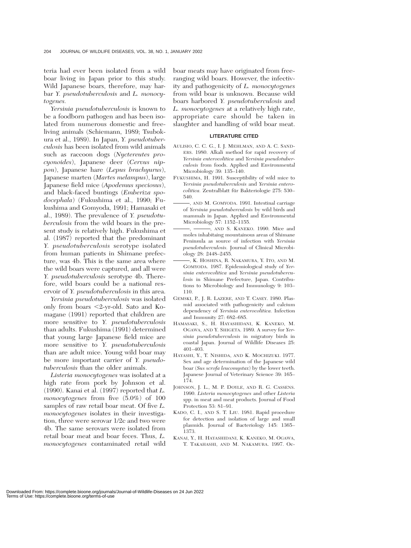teria had ever been isolated from a wild boar living in Japan prior to this study. Wild Japanese boars, therefore, may harbar *Y. pseudotuberculosis* and *L. monocytogenes.*

*Yersinia pseudotuberculosis* is known to be a foodborn pathogen and has been isolated from numerous domestic and freeliving animals (Schiemann, 1989; Tsubokura et al., 1989). In Japan, *Y. pseudotuberculosis* has been isolated from wild animals such as raccoon dogs (*Nyctereutes procyonoides*), Japanese deer (*Cervus nippon*), Japanese hare (*Lepus brachyurus*), Japanese marten (*Martes melampus*), large Japanese field mice (*Apodemus speciosus*), and black-faced buntings (*Emberiza spodocephala*) (Fukushima et al., 1990; Fukushima and Gomyoda, 1991; Hamasaki et al., 1989). The prevalence of *Y. pseudotuberculosis* from the wild boars in the present study is relatively high. Fukushima et al. (1987) reported that the predominant *Y. pseudotuberculosis* serotype isolated from human patients in Shimane prefecture, was 4b. This is the same area where the wild boars were captured, and all were *Y. pseudotuberculosis* serotype 4b. Therefore, wild boars could be a national reservoir of *Y. pseudotuberculosis* in this area.

*Yersinia pseudotuberculosis* was isolated only from boars 2-yr-old. Sato and Komagane (1991) reported that children are more sensitive to *Y. pseudotuberculosis* than adults. Fukushima (1991) determined that young large Japanese field mice are more sensitive to *Y. pseudotuberculosis* than are adult mice. Young wild boar may be more important carrier of *Y. pseudotuberculosis* than the older animals.

*Listeria monocytogenes* was isolated at a high rate from pork by Johnson et al. (1990). Kanai et al. (1997) reported that *L. monocytogenes* from five (5.0%) of 100 samples of raw retail boar meat. Of five *L. monocytogenes* isolates in their investigation, three were serovar 1/2c and two were 4b. The same serovars were isolated from retail boar meat and boar feces. Thus, *L. monocytogenes* contaminated retail wild

boar meats may have originated from freeranging wild boars. However, the infectivity and pathogenicity of *L. monocytogenes* from wild boar is unknown. Because wild boars harbored *Y. pseudotuberculosis* and *L. monocytogenes* at a relatively high rate, appropriate care should be taken in slaughter and handling of wild boar meat.

## **LITERATURE CITED**

- AULISIO, C. C. G., I. J. MEHLMAN, AND A. C. SAND-ERS. 1980. Alkali method for rapid recovery of *Yersinia enterocolitica* and *Yersinia pseudotuberculosis* from foods. Applied and Environmental Microbiology 39: 135–140.
- FUKUSHIMA, H. 1991. Susceptibility of wild mice to *Yersinia pseudotuberculosis* and *Yersinia enterocolitica*. Zentralblatt für Bakteriologie 275: 530– 540.
- , AND M. GOMYODA. 1991. Intestinal carriage of *Yersinia pseudotuberculosis* by wild birds and mammals in Japan. Applied and Environmental Microbiology 57: 1152–1155.
- -, AND S. KANEKO. 1990. Mice and moles inhabitaing mountainous areas of Shimane Peninsula as source of infection with *Yersinia pseudotuberculosis.* Journal of Clinical Microbiology 28: 2448–2455.
- , K. HOSHINA, R. NAKAMURA, Y. ITO, AND M. GOMYODA. 1987. Epidemiological study of *Yersinia enterocolitica* and *Yersinia pseudotuberculosis* in Shimane Prefecture, Japan. Contributions to Microbiology and Immunology 9: 103– 110.
- GEMSKI, P., J. R. LAZERE, AND T. CASEY. 1980. Plasmid associated with pathogenicity and calcium dependency of *Yersinia enterocolitica.* Infection and Immunity 27: 682–685.
- HAMASAKI, S., H. HAYASHIDANI, K. KANEKO, M. OGAWA, AND Y. SHIGETA. 1989. A survey for *Yersinia pseudotuberculosis* in migratory birds in coastal Japan. Journal of Wildlife Diseases 25: 401–403.
- HAYASHI, Y., T. NISHIDA, AND K. MOCHIZUKI. 1977. Sex and age determination of the Japanese wild boar (*Sus scrofa leucomystax*) by the lower teeth. Japanese Journal of Veterinary Science 39: 165– 174.
- JOHNSON, J. L., M. P. DOYLE, AND R. G. CASSENS. 1990. *Listeria monocytogenes* and other *Listeria* spp. in meat and meat products. Journal of Food Protection 53: 81–91.
- KADO, C. I., AND S. T. LIU. 1981. Rapid procedure for detection and isolation of large and small plasmids. Journal of Bacteriology 145: 1365– 1373.
- KANAI, Y., H. HAYASHIDANI, K. KANEKO, M. OGAWA, T. TAKAHASHI, AND M. NAKAMURA. 1997. Oc-